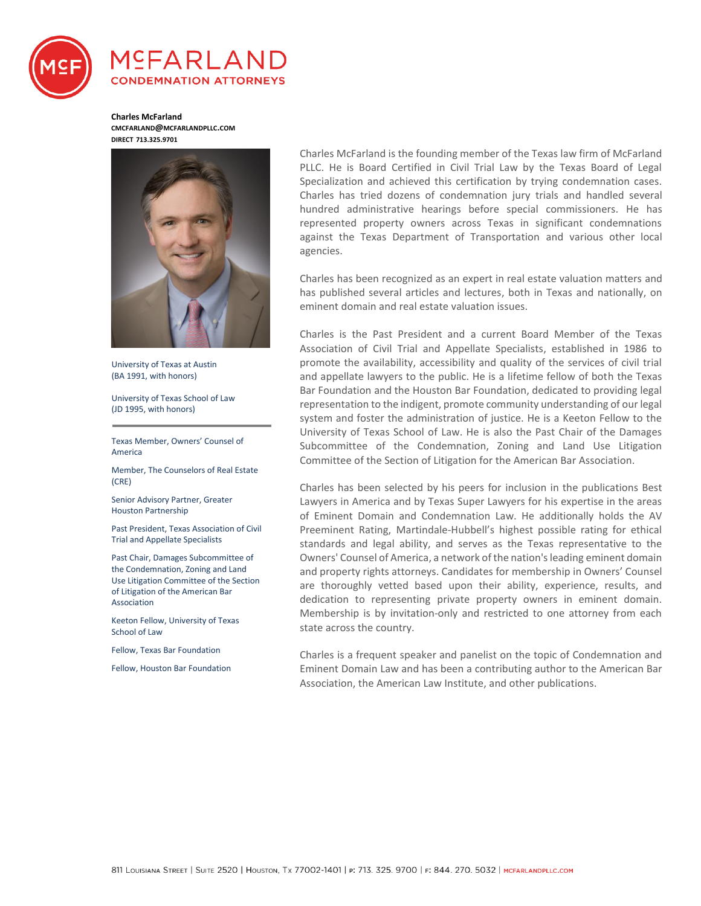

# MCFARLAN **CONDEMNATION ATTORNEYS**

**Charles McFarland CMCFARLAND@MCFARLANDPLLC.COM DIRECT 713.325.9701** 



University of Texas at Austin (BA 1991, with honors)

University of Texas School of Law (JD 1995, with honors)

Texas Member, Owners' Counsel of America

Member, The Counselors of Real Estate (CRE)

Senior Advisory Partner, Greater Houston Partnership

Past President, Texas Association of Civil Trial and Appellate Specialists

Past Chair, Damages Subcommittee of the Condemnation, Zoning and Land Use Litigation Committee of the Section of Litigation of the American Bar Association

Keeton Fellow, University of Texas School of Law

Fellow, Texas Bar Foundation

Fellow, Houston Bar Foundation

Charles McFarland is the founding member of the Texas law firm of McFarland PLLC. He is Board Certified in Civil Trial Law by the Texas Board of Legal Specialization and achieved this certification by trying condemnation cases. Charles has tried dozens of condemnation jury trials and handled several hundred administrative hearings before special commissioners. He has represented property owners across Texas in significant condemnations against the Texas Department of Transportation and various other local agencies.

Charles has been recognized as an expert in real estate valuation matters and has published several articles and lectures, both in Texas and nationally, on eminent domain and real estate valuation issues.

Charles is the Past President and a current Board Member of the Texas Association of Civil Trial and Appellate Specialists, established in 1986 to promote the availability, accessibility and quality of the services of civil trial and appellate lawyers to the public. He is a lifetime fellow of both the Texas Bar Foundation and the Houston Bar Foundation, dedicated to providing legal representation to the indigent, promote community understanding of our legal system and foster the administration of justice. He is a Keeton Fellow to the University of Texas School of Law. He is also the Past Chair of the Damages Subcommittee of the Condemnation, Zoning and Land Use Litigation Committee of the Section of Litigation for the American Bar Association.

Charles has been selected by his peers for inclusion in the publications Best Lawyers in America and by Texas Super Lawyers for his expertise in the areas of Eminent Domain and Condemnation Law. He additionally holds the AV Preeminent Rating, Martindale-Hubbell's highest possible rating for ethical standards and legal ability, and serves as the Texas representative to the Owners' Counsel of America, a network of the nation's leading eminent domain and property rights attorneys. Candidates for membership in Owners' Counsel are thoroughly vetted based upon their ability, experience, results, and dedication to representing private property owners in eminent domain. Membership is by invitation-only and restricted to one attorney from each state across the country.

Charles is a frequent speaker and panelist on the topic of Condemnation and Eminent Domain Law and has been a contributing author to the American Bar Association, the American Law Institute, and other publications.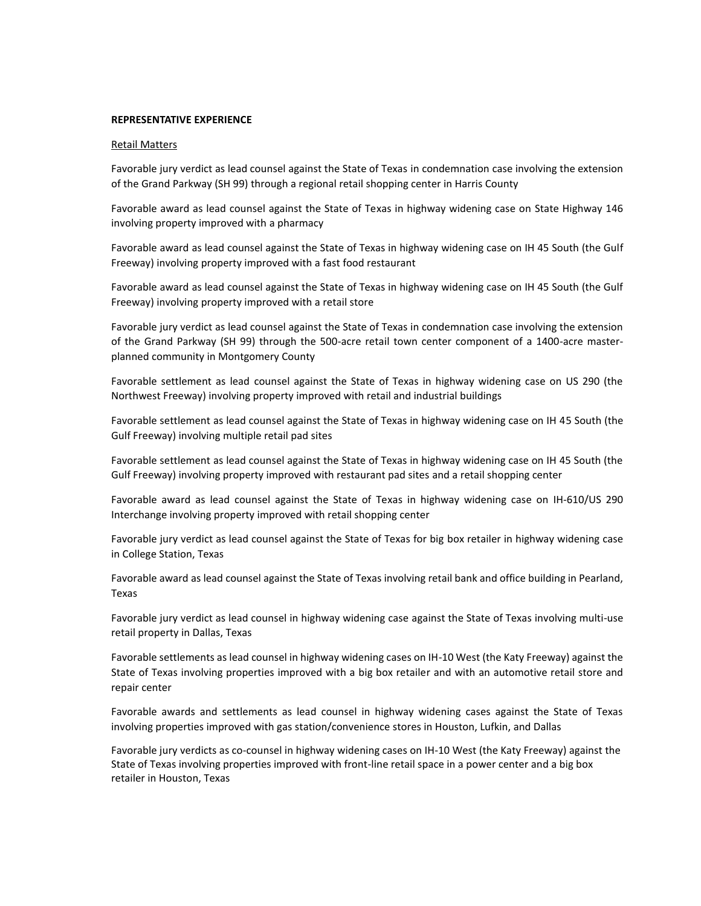## **REPRESENTATIVE EXPERIENCE**

### Retail Matters

Favorable jury verdict as lead counsel against the State of Texas in condemnation case involving the extension of the Grand Parkway (SH 99) through a regional retail shopping center in Harris County

Favorable award as lead counsel against the State of Texas in highway widening case on State Highway 146 involving property improved with a pharmacy

Favorable award as lead counsel against the State of Texas in highway widening case on IH 45 South (the Gulf Freeway) involving property improved with a fast food restaurant

Favorable award as lead counsel against the State of Texas in highway widening case on IH 45 South (the Gulf Freeway) involving property improved with a retail store

Favorable jury verdict as lead counsel against the State of Texas in condemnation case involving the extension of the Grand Parkway (SH 99) through the 500-acre retail town center component of a 1400-acre masterplanned community in Montgomery County

Favorable settlement as lead counsel against the State of Texas in highway widening case on US 290 (the Northwest Freeway) involving property improved with retail and industrial buildings

Favorable settlement as lead counsel against the State of Texas in highway widening case on IH 45 South (the Gulf Freeway) involving multiple retail pad sites

Favorable settlement as lead counsel against the State of Texas in highway widening case on IH 45 South (the Gulf Freeway) involving property improved with restaurant pad sites and a retail shopping center

Favorable award as lead counsel against the State of Texas in highway widening case on IH-610/US 290 Interchange involving property improved with retail shopping center

Favorable jury verdict as lead counsel against the State of Texas for big box retailer in highway widening case in College Station, Texas

Favorable award as lead counsel against the State of Texas involving retail bank and office building in Pearland, Texas

Favorable jury verdict as lead counsel in highway widening case against the State of Texas involving multi-use retail property in Dallas, Texas

Favorable settlements as lead counsel in highway widening cases on IH-10 West (the Katy Freeway) against the State of Texas involving properties improved with a big box retailer and with an automotive retail store and repair center

Favorable awards and settlements as lead counsel in highway widening cases against the State of Texas involving properties improved with gas station/convenience stores in Houston, Lufkin, and Dallas

Favorable jury verdicts as co-counsel in highway widening cases on IH-10 West (the Katy Freeway) against the State of Texas involving properties improved with front-line retail space in a power center and a big box retailer in Houston, Texas